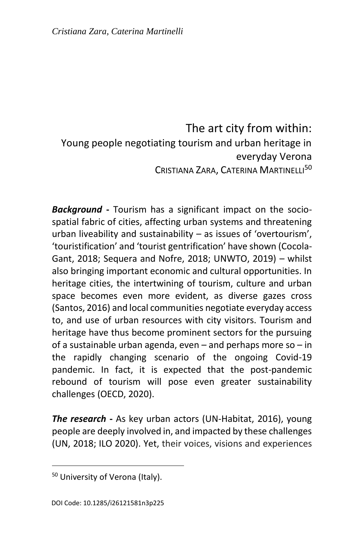The art city from within: Young people negotiating tourism and urban heritage in everyday Verona CRISTIANA ZARA, CATERINA MARTINELLI<sup>50</sup>

*Background* **-** Tourism has a significant impact on the sociospatial fabric of cities, affecting urban systems and threatening urban liveability and sustainability – as issues of 'overtourism', 'touristification' and 'tourist gentrification' have shown (Cocola-Gant, 2018; Sequera and Nofre, 2018; UNWTO, 2019) – whilst also bringing important economic and cultural opportunities. In heritage cities, the intertwining of tourism, culture and urban space becomes even more evident, as diverse gazes cross (Santos, 2016) and local communities negotiate everyday access to, and use of urban resources with city visitors. Tourism and heritage have thus become prominent sectors for the pursuing of a sustainable urban agenda, even – and perhaps more so – in the rapidly changing scenario of the ongoing Covid-19 pandemic. In fact, it is expected that the post-pandemic rebound of tourism will pose even greater sustainability challenges (OECD, 2020).

*The research* **-** As key urban actors (UN-Habitat, 2016), young people are deeply involved in, and impacted by these challenges (UN, 2018; ILO 2020). Yet, their voices, visions and experiences

 $\overline{a}$ 

<sup>&</sup>lt;sup>50</sup> University of Verona (Italy).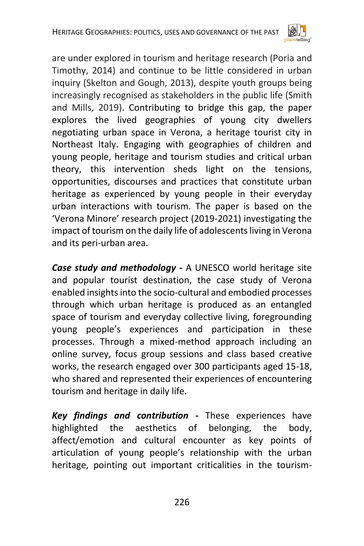

are under explored in tourism and heritage research (Poria and Timothy, 2014) and continue to be little considered in urban inquiry (Skelton and Gough, 2013), despite youth groups being increasingly recognised as stakeholders in the public life (Smith and Mills, 2019). Contributing to bridge this gap, the paper explores the lived geographies of young city dwellers negotiating urban space in Verona, a heritage tourist city in Northeast Italy. Engaging with geographies of children and young people, heritage and tourism studies and critical urban theory, this intervention sheds light on the tensions, opportunities, discourses and practices that constitute urban heritage as experienced by young people in their everyday urban interactions with tourism. The paper is based on the 'Verona Minore' research project (2019-2021) investigating the impact of tourism on the daily life of adolescents living in Verona and its peri-urban area.

*Case study and methodology* **-** A UNESCO world heritage site and popular tourist destination, the case study of Verona enabled insights into the socio-cultural and embodied processes through which urban heritage is produced as an entangled space of tourism and everyday collective living, foregrounding young people's experiences and participation in these processes. Through a mixed-method approach including an online survey, focus group sessions and class based creative works, the research engaged over 300 participants aged 15-18, who shared and represented their experiences of encountering tourism and heritage in daily life.

*Key findings and contribution* **-** These experiences have highlighted the aesthetics of belonging, the body, affect/emotion and cultural encounter as key points of articulation of young people's relationship with the urban heritage, pointing out important criticalities in the tourism-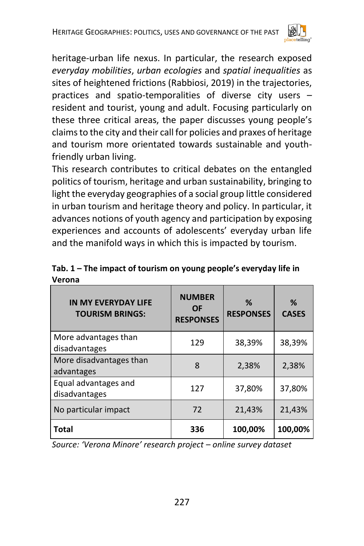

heritage-urban life nexus. In particular, the research exposed *everyday mobilities*, *urban ecologies* and *spatial inequalities* as sites of heightened frictions (Rabbiosi, 2019) in the trajectories, practices and spatio-temporalities of diverse city users – resident and tourist, young and adult. Focusing particularly on these three critical areas, the paper discusses young people's claims to the city and their call for policies and praxes of heritage and tourism more orientated towards sustainable and youthfriendly urban living.

This research contributes to critical debates on the entangled politics of tourism, heritage and urban sustainability, bringing to light the everyday geographies of a social group little considered in urban tourism and heritage theory and policy. In particular, it advances notions of youth agency and participation by exposing experiences and accounts of adolescents' everyday urban life and the manifold ways in which this is impacted by tourism.

| <b>IN MY EVERYDAY LIFE</b><br><b>TOURISM BRINGS:</b> | <b>NUMBER</b><br>OF<br><b>RESPONSES</b> | ℅<br><b>RESPONSES</b> | ℅<br><b>CASES</b> |
|------------------------------------------------------|-----------------------------------------|-----------------------|-------------------|
| More advantages than<br>disadvantages                | 129                                     | 38,39%                | 38,39%            |
| More disadvantages than<br>advantages                | 8                                       | 2,38%                 | 2,38%             |
| Equal advantages and<br>disadvantages                | 127                                     | 37,80%                | 37,80%            |
| No particular impact                                 | 72                                      | 21,43%                | 21,43%            |
| Total                                                | 336                                     | 100,00%               | 100,00%           |

## **Tab. 1 – The impact of tourism on young people's everyday life in Verona**

*Source: 'Verona Minore' research project – online survey dataset*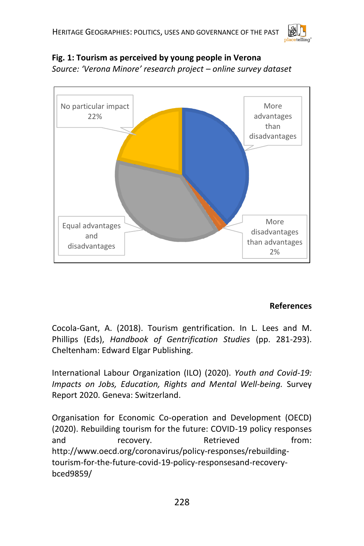

## **Fig. 1: Tourism as perceived by young people in Verona**

*Source: 'Verona Minore' research project – online survey dataset*



## **References**

Cocola-Gant, A. (2018). Tourism gentrification. In L. Lees and M. Phillips (Eds), *Handbook of Gentrification Studies* (pp. 281-293). Cheltenham: Edward Elgar Publishing.

International Labour Organization (ILO) (2020). *Youth and Covid-19: Impacts on Jobs, Education, Rights and Mental Well-being.* Survey Report 2020. Geneva: Switzerland.

Organisation for Economic Co-operation and Development (OECD) (2020). Rebuilding tourism for the future: COVID-19 policy responses and recovery. Retrieved from: http://www.oecd.org/coronavirus/policy-responses/rebuildingtourism-for-the-future-covid-19-policy-responsesand-recoverybced9859/